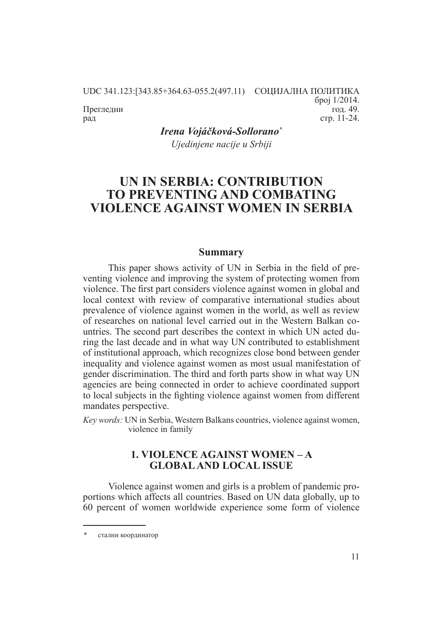UDC 341.123:[343.85+364.63-055.2(497.11) СОЦИЈАЛНА ПОЛИТИКА број 1/2014. год. 49.

Прегледни рад

> *Irena Vojáčková-Sollorano\* Ujedinjene nacije u Srbiji*

# **UN IN SERBIA: CONTRIBUTION TO PREVENTING AND COMBATING VIOLENCE AGAINST WOMEN IN SERBIA**

#### **Summary**

This paper shows activity of UN in Serbia in the field of preventing violence and improving the system of protecting women from violence. The first part considers violence against women in global and local context with review of comparative international studies about prevalence of violence against women in the world, as well as review of researches on national level carried out in the Western Balkan countries. The second part describes the context in which UN acted during the last decade and in what way UN contributed to establishment of institutional approach, which recognizes close bond between gender inequality and violence against women as most usual manifestation of gender discrimination. The third and forth parts show in what way UN agencies are being connected in order to achieve coordinated support to local subjects in the fighting violence against women from different mandates perspective.

*Key words:* UN in Serbia, Western Balkans countries, violence against women, violence in family

# **1. VIOLENCE AGAINST WOMEN – A GLOBAL AND LOCAL ISSUE**

Violence against women and girls is a problem of pandemic proportions which affects all countries. Based on UN data globally, up to 60 percent of women worldwide experience some form of violence

стр. 11-24.

стални координатор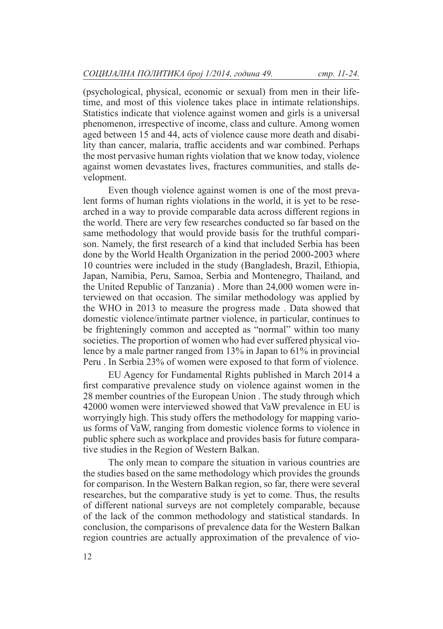(psychological, physical, economic or sexual) from men in their lifetime, and most of this violence takes place in intimate relationships. Statistics indicate that violence against women and girls is a universal phenomenon, irrespective of income, class and culture. Among women aged between 15 and 44, acts of violence cause more death and disability than cancer, malaria, traffic accidents and war combined. Perhaps the most pervasive human rights violation that we know today, violence against women devastates lives, fractures communities, and stalls development.

Even though violence against women is one of the most prevalent forms of human rights violations in the world, it is yet to be researched in a way to provide comparable data across different regions in the world. There are very few researches conducted so far based on the same methodology that would provide basis for the truthful comparison. Namely, the first research of a kind that included Serbia has been done by the World Health Organization in the period 2000-2003 where 10 countries were included in the study (Bangladesh, Brazil, Ethiopia, Japan, Namibia, Peru, Samoa, Serbia and Montenegro, Thailand, and the United Republic of Tanzania) . More than 24,000 women were interviewed on that occasion. The similar methodology was applied by the WHO in 2013 to measure the progress made . Data showed that domestic violence/intimate partner violence, in particular, continues to be frighteningly common and accepted as "normal" within too many societies. The proportion of women who had ever suffered physical violence by a male partner ranged from 13% in Japan to 61% in provincial Peru . In Serbia 23% of women were exposed to that form of violence.

EU Agency for Fundamental Rights published in March 2014 a first comparative prevalence study on violence against women in the 28 member countries of the European Union . The study through which 42000 women were interviewed showed that VaW prevalence in EU is worryingly high. This study offers the methodology for mapping various forms of VaW, ranging from domestic violence forms to violence in public sphere such as workplace and provides basis for future comparative studies in the Region of Western Balkan.

The only mean to compare the situation in various countries are the studies based on the same methodology which provides the grounds for comparison. In the Western Balkan region, so far, there were several researches, but the comparative study is yet to come. Thus, the results of different national surveys are not completely comparable, because of the lack of the common methodology and statistical standards. In conclusion, the comparisons of prevalence data for the Western Balkan region countries are actually approximation of the prevalence of vio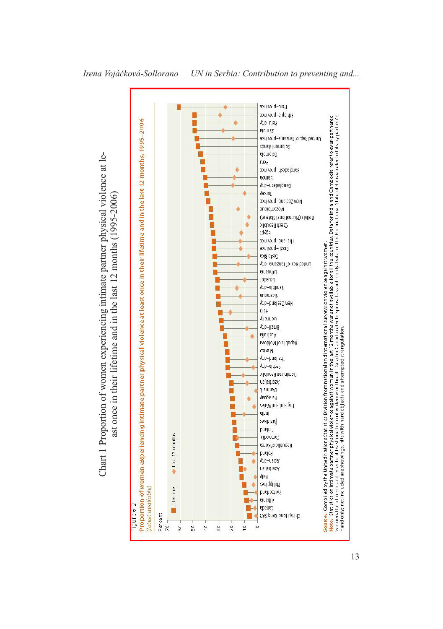

# Chart 1 Proportion of women experiencing intimate partner physical violence at leolence at le-Chart 1 Proportion of women experiencing intimate partner physical vi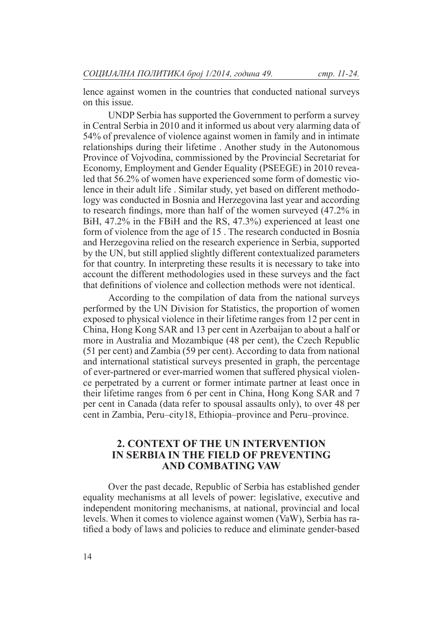lence against women in the countries that conducted national surveys on this issue.

UNDP Serbia has supported the Government to perform a survey in Central Serbia in 2010 and it informed us about very alarming data of 54% of prevalence of violence against women in family and in intimate relationships during their lifetime . Another study in the Autonomous Province of Vojvodina, commissioned by the Provincial Secretariat for Economy, Employment and Gender Equality (PSEEGE) in 2010 revealed that 56.2% of women have experienced some form of domestic violence in their adult life . Similar study, yet based on different methodology was conducted in Bosnia and Herzegovina last year and according to research findings, more than half of the women surveyed (47.2% in BiH, 47.2% in the FBiH and the RS, 47.3%) experienced at least one form of violence from the age of 15 . The research conducted in Bosnia and Herzegovina relied on the research experience in Serbia, supported by the UN, but still applied slightly different contextualized parameters for that country. In interpreting these results it is necessary to take into account the different methodologies used in these surveys and the fact that definitions of violence and collection methods were not identical.

According to the compilation of data from the national surveys performed by the UN Division for Statistics, the proportion of women exposed to physical violence in their lifetime ranges from 12 per cent in China, Hong Kong SAR and 13 per cent in Azerbaijan to about a half or more in Australia and Mozambique (48 per cent), the Czech Republic (51 per cent) and Zambia (59 per cent). According to data from national and international statistical surveys presented in graph, the percentage of ever-partnered or ever-married women that suffered physical violence perpetrated by a current or former intimate partner at least once in their lifetime ranges from 6 per cent in China, Hong Kong SAR and 7 per cent in Canada (data refer to spousal assaults only), to over 48 per cent in Zambia, Peru–city18, Ethiopia–province and Peru–province.

# **2. CONTEXT OF THE UN INTERVENTION IN SERBIA IN THE FIELD OF PREVENTING AND COMBATING VAW**

Over the past decade, Republic of Serbia has established gender equality mechanisms at all levels of power: legislative, executive and independent monitoring mechanisms, at national, provincial and local levels. When it comes to violence against women (VaW), Serbia has ratified a body of laws and policies to reduce and eliminate gender-based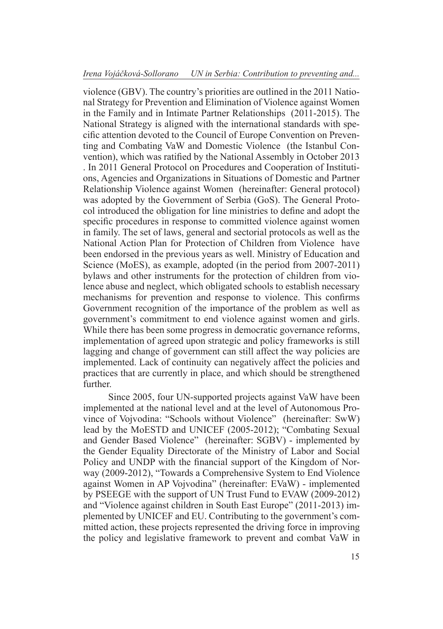violence (GBV). The country's priorities are outlined in the 2011 National Strategy for Prevention and Elimination of Violence against Women in the Family and in Intimate Partner Relationships (2011-2015). The National Strategy is aligned with the international standards with specific attention devoted to the Council of Europe Convention on Preventing and Combating VaW and Domestic Violence (the Istanbul Convention), which was ratified by the National Assembly in October 2013 . In 2011 General Protocol on Procedures and Cooperation of Institutions, Agencies and Organizations in Situations of Domestic and Partner Relationship Violence against Women (hereinafter: General protocol) was adopted by the Government of Serbia (GoS). The General Protocol introduced the obligation for line ministries to define and adopt the specific procedures in response to committed violence against women in family. The set of laws, general and sectorial protocols as well as the National Action Plan for Protection of Children from Violence have been endorsed in the previous years as well. Ministry of Education and Science (MoES), as example, adopted (in the period from 2007-2011) bylaws and other instruments for the protection of children from violence abuse and neglect, which obligated schools to establish necessary mechanisms for prevention and response to violence. This confirms Government recognition of the importance of the problem as well as government's commitment to end violence against women and girls. While there has been some progress in democratic governance reforms, implementation of agreed upon strategic and policy frameworks is still lagging and change of government can still affect the way policies are implemented. Lack of continuity can negatively affect the policies and practices that are currently in place, and which should be strengthened **further** 

Since 2005, four UN-supported projects against VaW have been implemented at the national level and at the level of Autonomous Province of Vojvodina: "Schools without Violence" (hereinafter: SwW) lead by the MoESTD and UNICEF (2005-2012); "Combating Sexual and Gender Based Violence" (hereinafter: SGBV) - implemented by the Gender Equality Directorate of the Ministry of Labor and Social Policy and UNDP with the financial support of the Kingdom of Norway (2009-2012), "Towards a Comprehensive System to End Violence against Women in AP Vojvodina" (hereinafter: EVaW) - implemented by PSEEGE with the support of UN Trust Fund to EVAW (2009-2012) and "Violence against children in South East Europe" (2011-2013) implemented by UNICEF and EU. Contributing to the government's committed action, these projects represented the driving force in improving the policy and legislative framework to prevent and combat VaW in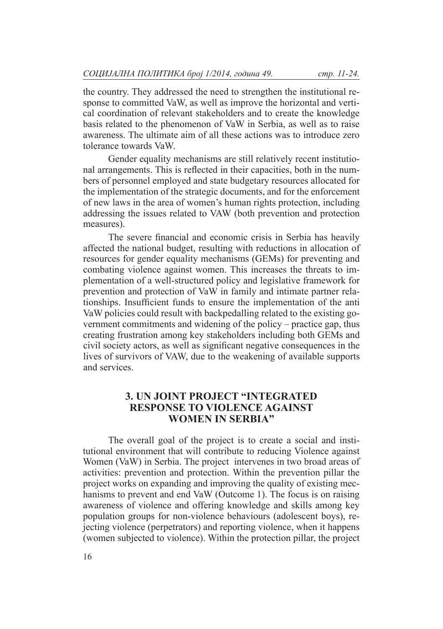the country. They addressed the need to strengthen the institutional response to committed VaW, as well as improve the horizontal and vertical coordination of relevant stakeholders and to create the knowledge basis related to the phenomenon of VaW in Serbia, as well as to raise awareness. The ultimate aim of all these actions was to introduce zero tolerance towards VaW.

Gender equality mechanisms are still relatively recent institutional arrangements. This is reflected in their capacities, both in the numbers of personnel employed and state budgetary resources allocated for the implementation of the strategic documents, and for the enforcement of new laws in the area of women's human rights protection, including addressing the issues related to VAW (both prevention and protection measures).

The severe financial and economic crisis in Serbia has heavily affected the national budget, resulting with reductions in allocation of resources for gender equality mechanisms (GEMs) for preventing and combating violence against women. This increases the threats to implementation of a well-structured policy and legislative framework for prevention and protection of VaW in family and intimate partner relationships. Insufficient funds to ensure the implementation of the anti VaW policies could result with backpedalling related to the existing government commitments and widening of the policy – practice gap, thus creating frustration among key stakeholders including both GEMs and civil society actors, as well as significant negative consequences in the lives of survivors of VAW, due to the weakening of available supports and services.

# **3. UN JOINT PROJECT "INTEGRATED RESPONSE TO VIOLENCE AGAINST WOMEN IN SERBIA"**

The overall goal of the project is to create a social and institutional environment that will contribute to reducing Violence against Women (VaW) in Serbia. The project intervenes in two broad areas of activities: prevention and protection. Within the prevention pillar the project works on expanding and improving the quality of existing mechanisms to prevent and end VaW (Outcome 1). The focus is on raising awareness of violence and offering knowledge and skills among key population groups for non-violence behaviours (adolescent boys), rejecting violence (perpetrators) and reporting violence, when it happens (women subjected to violence). Within the protection pillar, the project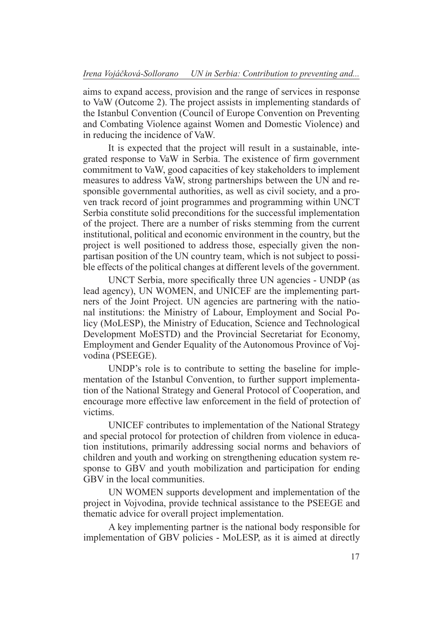aims to expand access, provision and the range of services in response to VaW (Outcome 2). The project assists in implementing standards of the Istanbul Convention (Council of Europe Convention on Preventing and Combating Violence against Women and Domestic Violence) and in reducing the incidence of VaW.

It is expected that the project will result in a sustainable, integrated response to VaW in Serbia. The existence of firm government commitment to VaW, good capacities of key stakeholders to implement measures to address VaW, strong partnerships between the UN and responsible governmental authorities, as well as civil society, and a proven track record of joint programmes and programming within UNCT Serbia constitute solid preconditions for the successful implementation of the project. There are a number of risks stemming from the current institutional, political and economic environment in the country, but the project is well positioned to address those, especially given the nonpartisan position of the UN country team, which is not subject to possible effects of the political changes at different levels of the government.

UNCT Serbia, more specifically three UN agencies - UNDP (as lead agency), UN WOMEN, and UNICEF are the implementing partners of the Joint Project. UN agencies are partnering with the national institutions: the Ministry of Labour, Employment and Social Policy (MoLESP), the Ministry of Education, Science and Technological Development MoESTD) and the Provincial Secretariat for Economy, Employment and Gender Equality of the Autonomous Province of Vojvodina (PSEEGE).

UNDP's role is to contribute to setting the baseline for implementation of the Istanbul Convention, to further support implementation of the National Strategy and General Protocol of Cooperation, and encourage more effective law enforcement in the field of protection of victims.

UNICEF contributes to implementation of the National Strategy and special protocol for protection of children from violence in education institutions, primarily addressing social norms and behaviors of children and youth and working on strengthening education system response to GBV and youth mobilization and participation for ending GBV in the local communities.

UN WOMEN supports development and implementation of the project in Vojvodina, provide technical assistance to the PSEEGE and thematic advice for overall project implementation.

A key implementing partner is the national body responsible for implementation of GBV policies - MoLESP, as it is aimed at directly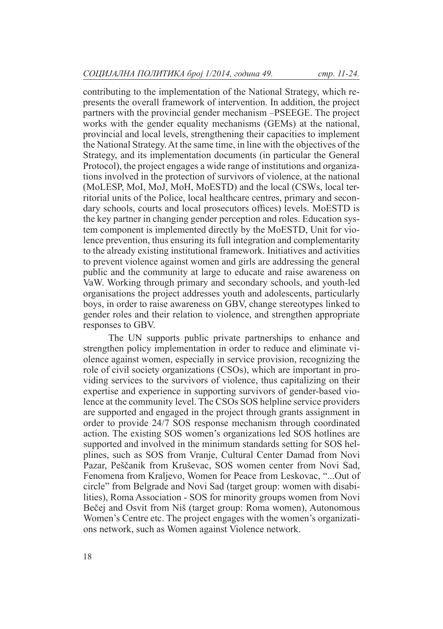contributing to the implementation of the National Strategy, which represents the overall framework of intervention. In addition, the project partners with the provincial gender mechanism –PSEEGE. The project works with the gender equality mechanisms (GEMs) at the national, provincial and local levels, strengthening their capacities to implement the National Strategy. At the same time, in line with the objectives of the Strategy, and its implementation documents (in particular the General Protocol), the project engages a wide range of institutions and organizations involved in the protection of survivors of violence, at the national (MoLESP, MoI, MoJ, MoH, MoESTD) and the local (CSWs, local territorial units of the Police, local healthcare centres, primary and secondary schools, courts and local prosecutors offices) levels. MoESTD is the key partner in changing gender perception and roles. Education system component is implemented directly by the MoESTD, Unit for violence prevention, thus ensuring its full integration and complementarity to the already existing institutional framework. Initiatives and activities to prevent violence against women and girls are addressing the general public and the community at large to educate and raise awareness on VaW. Working through primary and secondary schools, and youth-led organisations the project addresses youth and adolescents, particularly boys, in order to raise awareness on GBV, change stereotypes linked to gender roles and their relation to violence, and strengthen appropriate responses to GBV.

The UN supports public private partnerships to enhance and strengthen policy implementation in order to reduce and eliminate violence against women, especially in service provision, recognizing the role of civil society organizations (CSOs), which are important in providing services to the survivors of violence, thus capitalizing on their expertise and experience in supporting survivors of gender-based violence at the community level. The CSOs SOS helpline service providers are supported and engaged in the project through grants assignment in order to provide 24/7 SOS response mechanism through coordinated action. The existing SOS women's organizations led SOS hotlines are supported and involved in the minimum standards setting for SOS helplines, such as SOS from Vranje, Cultural Center Damad from Novi Pazar, Peščanik from Kruševac, SOS women center from Novi Sad, Fenomena from Kraljevo, Women for Peace from Leskovac, "...Out of circle" from Belgrade and Novi Sad (target group: women with disabilities), Roma Association - SOS for minority groups women from Novi Bečej and Osvit from Niš (target group: Roma women), Autonomous Women's Centre etc. The project engages with the women's organizations network, such as Women against Violence network.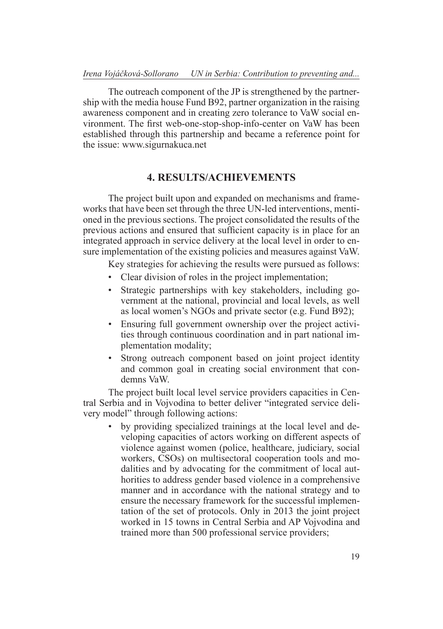#### *Irena Vojáčková-Sollorano UN in Serbia: Contribution to preventing and...*

The outreach component of the JP is strengthened by the partnership with the media house Fund B92, partner organization in the raising awareness component and in creating zero tolerance to VaW social environment. The first web-one-stop-shop-info-center on VaW has been established through this partnership and became a reference point for the issue: www.sigurnakuca.net

# **4. RESULTS/ACHIEVEMENTS**

The project built upon and expanded on mechanisms and frameworks that have been set through the three UN-led interventions, mentioned in the previous sections. The project consolidated the results of the previous actions and ensured that sufficient capacity is in place for an integrated approach in service delivery at the local level in order to ensure implementation of the existing policies and measures against VaW.

Key strategies for achieving the results were pursued as follows:

- Clear division of roles in the project implementation;
- Strategic partnerships with key stakeholders, including government at the national, provincial and local levels, as well as local women's NGOs and private sector (e.g. Fund B92);
- Ensuring full government ownership over the project activities through continuous coordination and in part national implementation modality;
- Strong outreach component based on joint project identity and common goal in creating social environment that condemns VaW.

The project built local level service providers capacities in Central Serbia and in Vojvodina to better deliver "integrated service delivery model" through following actions:

• by providing specialized trainings at the local level and developing capacities of actors working on different aspects of violence against women (police, healthcare, judiciary, social workers, CSOs) on multisectoral cooperation tools and modalities and by advocating for the commitment of local authorities to address gender based violence in a comprehensive manner and in accordance with the national strategy and to ensure the necessary framework for the successful implementation of the set of protocols. Only in 2013 the joint project worked in 15 towns in Central Serbia and AP Vojvodina and trained more than 500 professional service providers;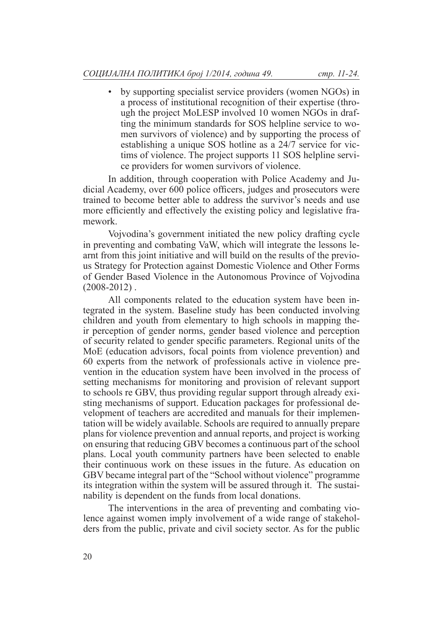• by supporting specialist service providers (women NGOs) in a process of institutional recognition of their expertise (through the project MoLESP involved 10 women NGOs in drafting the minimum standards for SOS helpline service to women survivors of violence) and by supporting the process of establishing a unique SOS hotline as a 24/7 service for victims of violence. The project supports 11 SOS helpline service providers for women survivors of violence.

In addition, through cooperation with Police Academy and Judicial Academy, over 600 police officers, judges and prosecutors were trained to become better able to address the survivor's needs and use more efficiently and effectively the existing policy and legislative framework.

Vojvodina's government initiated the new policy drafting cycle in preventing and combating VaW, which will integrate the lessons learnt from this joint initiative and will build on the results of the previous Strategy for Protection against Domestic Violence and Other Forms of Gender Based Violence in the Autonomous Province of Vojvodina  $(2008 - 2012)$ .

All components related to the education system have been integrated in the system. Baseline study has been conducted involving children and youth from elementary to high schools in mapping their perception of gender norms, gender based violence and perception of security related to gender specific parameters. Regional units of the MoE (education advisors, focal points from violence prevention) and 60 experts from the network of professionals active in violence prevention in the education system have been involved in the process of setting mechanisms for monitoring and provision of relevant support to schools re GBV, thus providing regular support through already existing mechanisms of support. Education packages for professional development of teachers are accredited and manuals for their implementation will be widely available. Schools are required to annually prepare plans for violence prevention and annual reports, and project is working on ensuring that reducing GBV becomes a continuous part of the school plans. Local youth community partners have been selected to enable their continuous work on these issues in the future. As education on GBV became integral part of the "School without violence" programme its integration within the system will be assured through it. The sustainability is dependent on the funds from local donations.

The interventions in the area of preventing and combating violence against women imply involvement of a wide range of stakeholders from the public, private and civil society sector. As for the public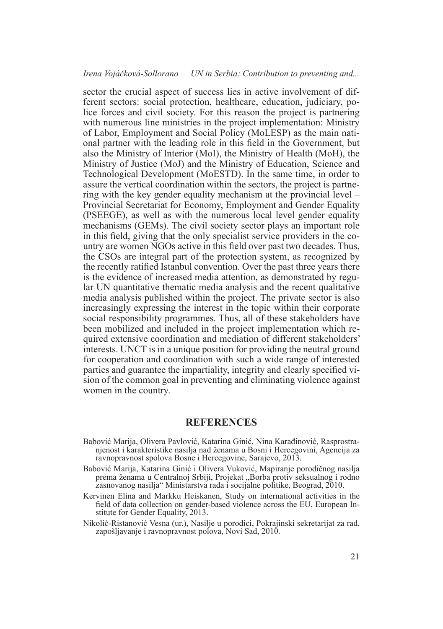sector the crucial aspect of success lies in active involvement of different sectors: social protection, healthcare, education, judiciary, police forces and civil society. For this reason the project is partnering with numerous line ministries in the project implementation: Ministry of Labor, Employment and Social Policy (MoLESP) as the main national partner with the leading role in this field in the Government, but also the Ministry of Interior (MoI), the Ministry of Health (MoH), the Ministry of Justice (MoJ) and the Ministry of Education, Science and Technological Development (MoESTD). In the same time, in order to assure the vertical coordination within the sectors, the project is partnering with the key gender equality mechanism at the provincial level – Provincial Secretariat for Economy, Employment and Gender Equality (PSEEGE), as well as with the numerous local level gender equality mechanisms (GEMs). The civil society sector plays an important role in this field, giving that the only specialist service providers in the country are women NGOs active in this field over past two decades. Thus, the CSOs are integral part of the protection system, as recognized by the recently ratified Istanbul convention. Over the past three years there is the evidence of increased media attention, as demonstrated by regular UN quantitative thematic media analysis and the recent qualitative media analysis published within the project. The private sector is also increasingly expressing the interest in the topic within their corporate social responsibility programmes. Thus, all of these stakeholders have been mobilized and included in the project implementation which required extensive coordination and mediation of different stakeholders' interests. UNCT is in a unique position for providing the neutral ground for cooperation and coordination with such a wide range of interested parties and guarantee the impartiality, integrity and clearly specified vision of the common goal in preventing and eliminating violence against women in the country.

#### **REFERENCES**

- Babović Marija, Olivera Pavlović, Katarina Ginić, Nina Karađinović, Rasprostra njenost i karakteristike nasilja nad ženama u Bosni i Hercegovini, Agencija za ravnopravnost spolova Bosne i Hercegovine, Sarajevo, 2013.
- Babović Marija, Katarina Ginić i Olivera Vuković, Mapiranje porodičnog nasilja prema ženama u Centralnoj Srbiji, Projekat "Borba protiv seksualnog i rodno zasnovanog nasilja" Ministarstva rada i socijalne politike, Beograd, 2010.
- Kervinen Elina and Markku Heiskanen, Study on international activities in the field of data collection on gender-based violence across the EU, European Institute for Gender Equality, 2013.
- Nikolić-Ristanović Vesna (ur.), Nasilje u porodici, Pokrajinski sekretarijat za rad, zapošljavanje i ravnopravnost polova, Novi Sad, 2010.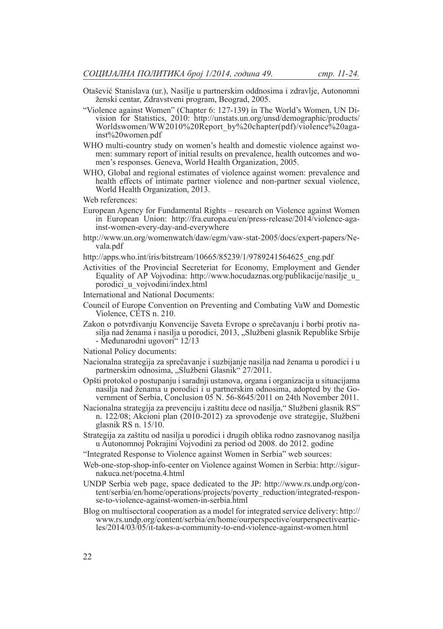- Otašević Stanislava (ur.), Nasilje u partnerskim oddnosima i zdravlje, Autonomni ženski centar, Zdravstveni program, Beograd, 2005.
- "Violence against Women" (Chapter 6: 127-139) in The World's Women, UN Division for Statistics, 2010: http://unstats.un.org/unsd/demographic/products/ Worldswomen/WW2010%20Report\_by%20chapter(pdf)/violence%20aga-<br>inst%20women.pdf
- WHO multi-country study on women's health and domestic violence against women: summary report of initial results on prevalence, health outcomes and women's responses. Geneva, World Health Organization, 2005.
- WHO, Global and regional estimates of violence against women: prevalence and health effects of intimate partner violence and non-partner sexual violence, World Health Organization, 2013.

Web references:

- European Agency for Fundamental Rights research on Violence against Women in European Union: http://fra.europa.eu/en/press-release/2014/violence-against-women-every-day-and-everywhere
- http://www.un.org/womenwatch/daw/egm/vaw-stat-2005/docs/expert-papers/Ne vala.pdf
- http://apps.who.int/iris/bitstream/10665/85239/1/9789241564625\_eng.pdf
- Activities of the Provincial Secreteriat for Economy, Employment and Gender Equality of AP Vojvodina: http://www.hocudaznas.org/publikacije/nasilje\_u\_ porodici\_u\_vojvodini/index.html
- International and National Documents:
- Council of Europe Convention on Preventing and Combating VaW and Domestic Violence, CETS n. 210.
- Zakon o potvrđivanju Konvencije Saveta Evrope o sprečavanju i borbi protiv na silja nad ženama i nasilja u porodici, 2013, "Službeni glasnik Republike Srbije - Međunarodni ugovori" 12/13
- National Policy documents:
- Nacionalna strategija za sprečavanje i suzbijanje nasilja nad ženama u porodici i u partnerskim odnosima, "Službeni Glasnik" 27/2011.
- Opšti protokol o postupanju i saradnji ustanova, organa i organizacija u situacijama nasilja nad ženama u porodici i u partnerskim odnosima, adopted by the Government of Serbia, Conclusion 05 N. 56-8645/2011 on 24th November 2011.
- Nacionalna strategija za prevenciju i zaštitu dece od nasilja," Službeni glasnik RS" n. 122/08; Akcioni plan (2010-2012) za sprovođenje ove strategije, Službeni glasnik RS n. 15/10.
- Strategija za zaštitu od nasilja u porodici i drugih oblika rodno zasnovanog nasilja u Autonomnoj Pokrajini Vojvodini za period od 2008. do 2012. godine
- "Integrated Response to Violence against Women in Serbia" web sources:
- Web-one-stop-shop-info-center on Violence against Women in Serbia: http://sigurnakuca.net/pocetna.4.html
- UNDP Serbia web page, space dedicated to the JP: http://www.rs.undp.org/content/serbia/en/home/operations/projects/poverty\_reduction/integrated-response-to-violence-against-women-in-serbia.html
- Blog on multisectoral cooperation as a model for integrated service delivery: http:// www.rs.undp.org/content/serbia/en/home/ourperspective/ourperspectiveartic les/2014/03/05/it-takes-a-community-to-end-violence-against-women.html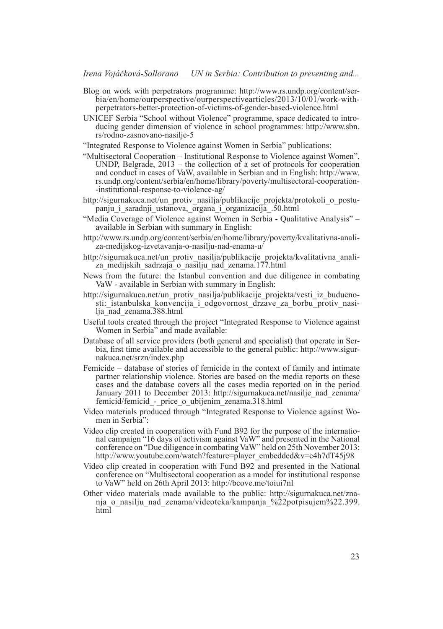- Blog on work with perpetrators programme: http://www.rs.undp.org/content/ser bia/en/home/ourperspective/ourperspectivearticles/2013/10/01/work-withperpetrators-better-protection-of-victims-of-gender-based-violence.html
- UNICEF Serbia "School without Violence" programme, space dedicated to intro ducing gender dimension of violence in school programmes: http://www.sbn. rs/rodno-zasnovano-nasilje-5

"Integrated Response to Violence against Women in Serbia" publications:

- "Multisectoral Cooperation Institutional Response to Violence against Women", UNDP, Belgrade,  $2013$  – the collection of a set of protocols for cooperation and conduct in cases of VaW, available in Serbian and in English: http://www. rs.undp.org/content/serbia/en/home/library/poverty/multisectoral-cooperation- -institutional-response-to-violence-ag/
- http://sigurnakuca.net/un\_protiv\_nasilja/publikacije\_projekta/protokoli\_o\_postu panju\_i\_saradnji\_ustanova,\_organa\_i\_organizacija\_.50.html
- "Media Coverage of Violence against Women in Serbia Qualitative Analysis" available in Serbian with summary in English:
- http://www.rs.undp.org/content/serbia/en/home/library/poverty/kvalitativna-anali za-medijskog-izvetavanja-o-nasilju-nad-enama-u/
- http://sigurnakuca.net/un\_protiv\_nasilja/publikacije\_projekta/kvalitativna\_anali-<br>za\_medijskih\_sadrzaja\_o\_nasilju\_nad\_zenama.177.html
- News from the future: the Istanbul convention and due diligence in combating VaW - available in Serbian with summary in English:
- http://sigurnakuca.net/un\_protiv\_nasilja/publikacije\_projekta/vesti\_iz\_buducno-<br>sti:\_istanbulska\_konvencija\_i\_odgovornost\_drzave\_za\_borbu\_protiv\_nasi-<br>lja\_nad\_zenama.388.html
- Useful tools created through the project "Integrated Response to Violence against Women in Serbia" and made available:
- Database of all service providers (both general and specialist) that operate in Serbia, first time available and accessible to the general public: http://www.sigurnakuca.net/srzn/index.php
- Femicide database of stories of femicide in the context of family and intimate partner relationship violence. Stories are based on the media reports on these cases and the database covers all the cases media reported on in the period January 2011 to December 2013: http://sigurnakuca.net/nasilje\_nad\_zenama/ femicid/femicid\_-\_price\_o\_ubijenim\_zenama.318.html
- Video materials produced through "Integrated Response to Violence against Wo men in Serbia":
- Video clip created in cooperation with Fund B92 for the purpose of the internatio nal campaign "16 days of activism against VaW" and presented in the National conference on "Due diligence in combating VaW" held on 25th November 2013: http://www.youtube.com/watch?feature=player\_embedded&v=c4h7dT45j98
- Video clip created in cooperation with Fund B92 and presented in the National conference on "Multisectoral cooperation as a model for institutional response to VaW" held on 26th April 2013: http://bcove.me/toiui7nl
- Other video materials made available to the public: http://sigurnakuca.net/znania\_o\_nasilju\_nad\_zenama/videoteka/kampanja\_%22potpisujem%22.399. html